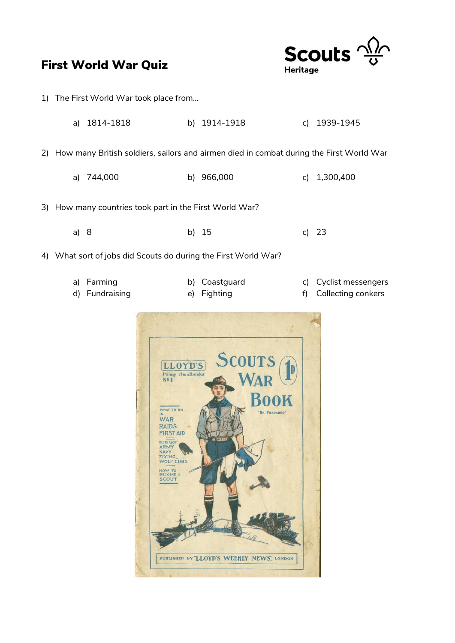



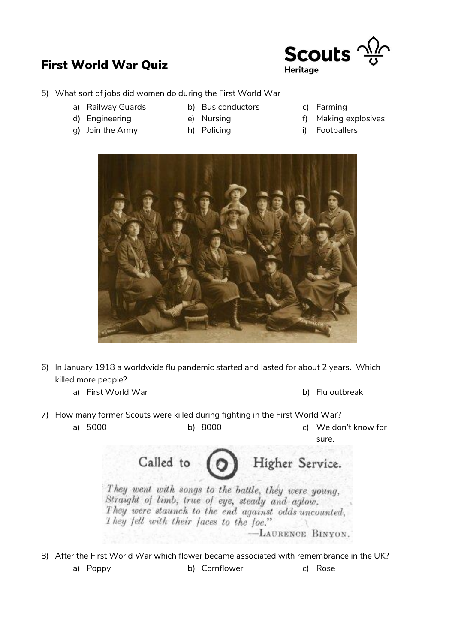

- 5) What sort of jobs did women do during the First World War
	- a) Railway Guards b) Bus conductors c) Farming
- -
	- g) Join the Army h) Policing i) Footballers
- 
- 
- d) Engineering e) Nursing explosives
	-



- 6) In January 1918 a worldwide flu pandemic started and lasted for about 2 years. Which killed more people?
	- a) First World War b) Flu outbreak
- 
- 7) How many former Scouts were killed during fighting in the First World War?
	- a) 5000 b) 8000 c) We don't know for sure.

Called to Higher Service. They went with songs to the battle, they were young, Straight of limb, true of eye, steady and aglow. They were staunch to the end against odds uncounted, They fell with their faces to the foe." -LAURENCE BINYON.

8) After the First World War which flower became associated with remembrance in the UK? a) Poppy b) Cornflower c) Rose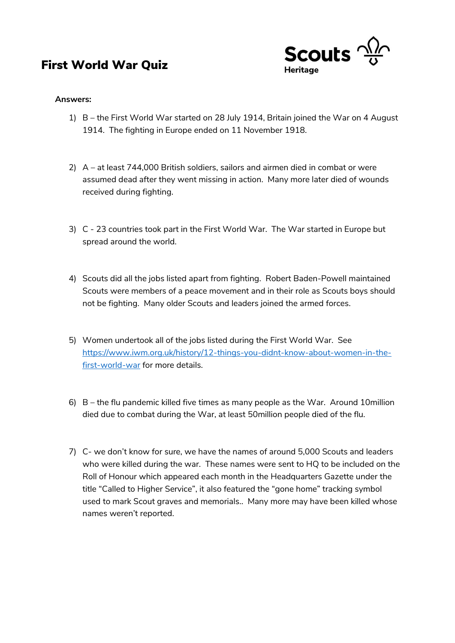

#### **Answers:**

- 1) B the First World War started on 28 July 1914, Britain joined the War on 4 August 1914. The fighting in Europe ended on 11 November 1918.
- 2) A at least 744,000 British soldiers, sailors and airmen died in combat or were assumed dead after they went missing in action. Many more later died of wounds received during fighting.
- 3) C 23 countries took part in the First World War. The War started in Europe but spread around the world.
- 4) Scouts did all the jobs listed apart from fighting. Robert Baden-Powell maintained Scouts were members of a peace movement and in their role as Scouts boys should not be fighting. Many older Scouts and leaders joined the armed forces.
- 5) Women undertook all of the jobs listed during the First World War. See [https://www.iwm.org.uk/history/12-things-you-didnt-know-about-women-in-the](https://www.iwm.org.uk/history/12-things-you-didnt-know-about-women-in-the-first-world-war)[first-world-war](https://www.iwm.org.uk/history/12-things-you-didnt-know-about-women-in-the-first-world-war) for more details.
- 6) B the flu pandemic killed five times as many people as the War. Around 10million died due to combat during the War, at least 50million people died of the flu.
- 7) C- we don't know for sure, we have the names of around 5,000 Scouts and leaders who were killed during the war. These names were sent to HQ to be included on the Roll of Honour which appeared each month in the Headquarters Gazette under the title "Called to Higher Service", it also featured the "gone home" tracking symbol used to mark Scout graves and memorials.. Many more may have been killed whose names weren't reported.